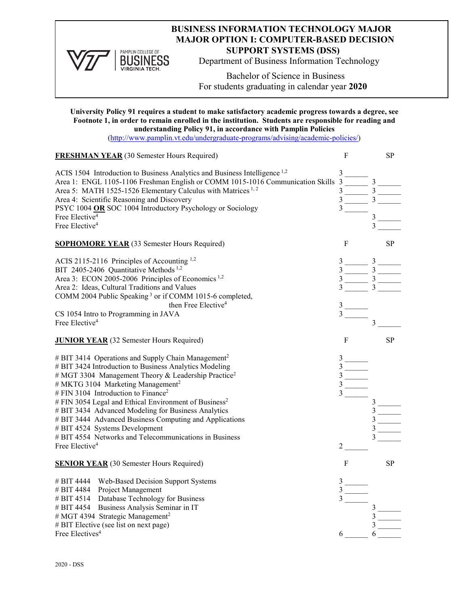

PAMPLIN COLLEGE OF **BUSINESS VIRGINIA TECH** 

# **BUSINESS INFORMATION TECHNOLOGY MAJOR MAJOR OPTION I: COMPUTER-BASED DECISION SUPPORT SYSTEMS (DSS)**

Department of Business Information Technology

Bachelor of Science in Business For students graduating in calendar year **2020**

#### **University Policy 91 requires a student to make satisfactory academic progress towards a degree, see Footnote 1, in order to remain enrolled in the institution. Students are responsible for reading and understanding Policy 91, in accordance with Pamplin Policies**

[\(http://www.pamplin.vt.edu/undergraduate-programs/advising/academic-policies/\)](http://www.pamplin.vt.edu/undergraduate-programs/advising/academic-policies/)

| <b>FRESHMAN YEAR</b> (30 Semester Hours Required)                                     | F                                                       | <b>SP</b>      |
|---------------------------------------------------------------------------------------|---------------------------------------------------------|----------------|
| ACIS 1504 Introduction to Business Analytics and Business Intelligence <sup>1,2</sup> | 3                                                       |                |
| Area 1: ENGL 1105-1106 Freshman English or COMM 1015-1016 Communication Skills 3      |                                                         | $\mathfrak{Z}$ |
| Area 5: MATH 1525-1526 Elementary Calculus with Matrices <sup>1,2</sup>               | 3                                                       | $=$ 3          |
| Area 4: Scientific Reasoning and Discovery                                            |                                                         |                |
| PSYC 1004 OR SOC 1004 Introductory Psychology or Sociology                            | 3                                                       |                |
| Free Elective <sup>4</sup>                                                            |                                                         |                |
| Free Elective <sup>4</sup>                                                            |                                                         |                |
| <b>SOPHOMORE YEAR</b> (33 Semester Hours Required)                                    | F                                                       | <b>SP</b>      |
| ACIS 2115-2116 Principles of Accounting $1,2$                                         | $3 \underline{\hspace{1cm}} 3 \underline{\hspace{1cm}}$ |                |
| BIT 2405-2406 Quantitative Methods <sup>1,2</sup>                                     | 3 <sup>7</sup>                                          | $-3$ $-$       |
| Area 3: ECON 2005-2006 Principles of Economics <sup>1,2</sup>                         | $\frac{3}{2}$                                           |                |
| Area 2: Ideas, Cultural Traditions and Values                                         | $\overline{\phantom{a}}$                                |                |
| COMM 2004 Public Speaking <sup>3</sup> or if COMM 1015-6 completed,                   |                                                         |                |
| then Free Elective <sup>4</sup>                                                       | $3\overline{)}$                                         |                |
| CS 1054 Intro to Programming in JAVA                                                  |                                                         |                |
| Free Elective <sup>4</sup>                                                            |                                                         |                |
| <b>JUNIOR YEAR</b> (32 Semester Hours Required)                                       | F                                                       | <b>SP</b>      |
| # BIT 3414 Operations and Supply Chain Management <sup>2</sup>                        |                                                         |                |
| # BIT 3424 Introduction to Business Analytics Modeling                                |                                                         |                |
| # MGT 3304 Management Theory & Leadership Practice <sup>2</sup>                       | $3^{-}$                                                 |                |
| # MKTG 3104 Marketing Management <sup>2</sup>                                         |                                                         |                |
| # FIN 3104 Introduction to Finance <sup>2</sup>                                       |                                                         |                |
| # FIN 3054 Legal and Ethical Environment of Business <sup>2</sup>                     |                                                         |                |
| # BIT 3434 Advanced Modeling for Business Analytics                                   |                                                         |                |
| # BIT 3444 Advanced Business Computing and Applications                               |                                                         |                |
| # BIT 4524 Systems Development                                                        |                                                         |                |
| # BIT 4554 Networks and Telecommunications in Business                                |                                                         |                |
| Free Elective <sup>4</sup>                                                            | 2                                                       |                |
| <b>SENIOR YEAR</b> (30 Semester Hours Required)                                       | F                                                       | <b>SP</b>      |
| # BIT 4444 Web-Based Decision Support Systems                                         |                                                         |                |
| # BIT 4484<br>Project Management                                                      | $\frac{3}{3}$ ——                                        |                |
| Database Technology for Business<br># BIT 4514                                        |                                                         |                |
| # BIT 4454 Business Analysis Seminar in IT                                            |                                                         |                |
| # MGT 4394 Strategic Management <sup>2</sup>                                          |                                                         |                |
| # BIT Elective (see list on next page)                                                |                                                         | 3              |
| Free Electives <sup>4</sup>                                                           | 6                                                       | 6              |